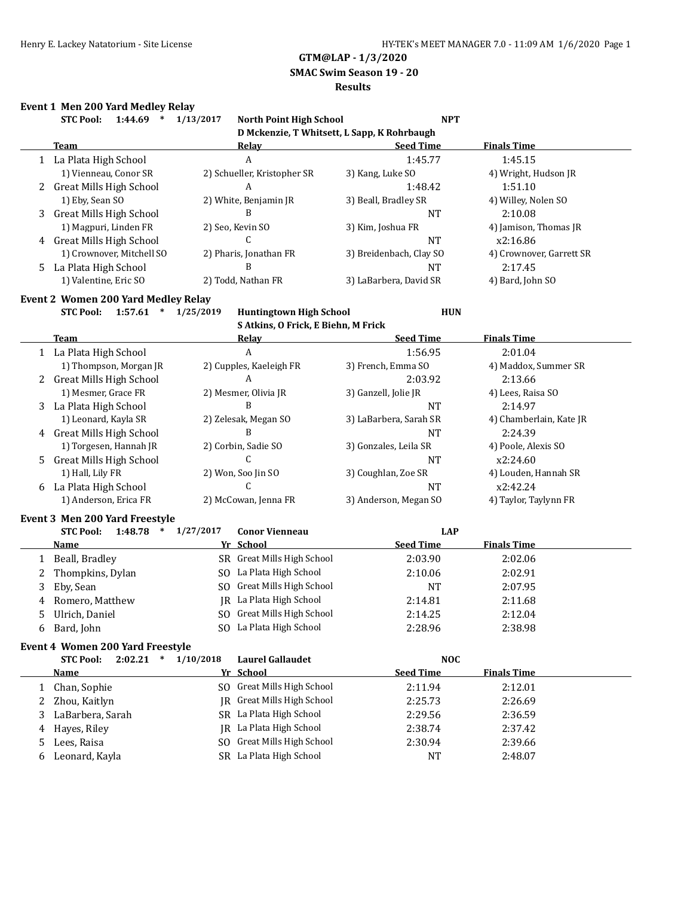# **GTM@LAP - 1/3/2020**

### **SMAC Swim Season 19 - 20**

# **Results**

### **Event 1 Men 200 Yard Medley Relay**

| <b>STC Pool:</b><br>1:44.69 | 1/13/2017<br><b>North Point High School</b> | <b>NPT</b>                                  |                          |
|-----------------------------|---------------------------------------------|---------------------------------------------|--------------------------|
|                             |                                             | D Mckenzie, T Whitsett, L Sapp, K Rohrbaugh |                          |
| Team                        | Relay                                       | <b>Seed Time</b>                            | <b>Finals Time</b>       |
| 1 La Plata High School      | A                                           | 1:45.77                                     | 1:45.15                  |
| 1) Vienneau, Conor SR       | 2) Schueller, Kristopher SR                 | 3) Kang, Luke SO                            | 4) Wright, Hudson JR     |
| 2 Great Mills High School   | A                                           | 1:48.42                                     | 1:51.10                  |
| 1) Eby, Sean SO             | 2) White, Benjamin JR                       | 3) Beall, Bradley SR                        | 4) Willey, Nolen SO      |
| 3 Great Mills High School   | B                                           | <b>NT</b>                                   | 2:10.08                  |
| 1) Magpuri, Linden FR       | 2) Seo, Kevin SO                            | 3) Kim, Joshua FR                           | 4) Jamison, Thomas JR    |
| 4 Great Mills High School   | ι.                                          | <b>NT</b>                                   | x2:16.86                 |
| 1) Crownover, Mitchell SO   | 2) Pharis, Jonathan FR                      | 3) Breidenbach, Clay SO                     | 4) Crownover, Garrett SR |
| 5 La Plata High School      | B                                           | NT                                          | 2:17.45                  |
| 1) Valentine, Eric SO       | 2) Todd. Nathan FR                          | 3) LaBarbera, David SR                      | 4) Bard, John SO         |

#### **Event 2 Women 200 Yard Medley Relay**

# **STC Pool: 1:57.61 \* 1/25/2019 Huntingtown High School HUN**

**S Atkins, O Frick, E Biehn, M Frick**

|   | <b>Team</b>               | Relay                   | <b>Seed Time</b>       | <b>Finals Time</b>      |
|---|---------------------------|-------------------------|------------------------|-------------------------|
|   | 1 La Plata High School    | A                       | 1:56.95                | 2:01.04                 |
|   | 1) Thompson, Morgan JR    | 2) Cupples, Kaeleigh FR | 3) French, Emma SO     | 4) Maddox, Summer SR    |
|   | 2 Great Mills High School | A                       | 2:03.92                | 2:13.66                 |
|   | 1) Mesmer, Grace FR       | 2) Mesmer, Olivia JR    | 3) Ganzell, Jolie JR   | 4) Lees, Raisa SO       |
|   | 3 La Plata High School    | В                       | NT                     | 2:14.97                 |
|   | 1) Leonard, Kayla SR      | 2) Zelesak, Megan SO    | 3) LaBarbera, Sarah SR | 4) Chamberlain, Kate JR |
| 4 | Great Mills High School   | В                       | <b>NT</b>              | 2:24.39                 |
|   | 1) Torgesen, Hannah JR    | 2) Corbin, Sadie SO     | 3) Gonzales, Leila SR  | 4) Poole, Alexis SO     |
|   | 5 Great Mills High School |                         | <b>NT</b>              | x2:24.60                |
|   | 1) Hall, Lily FR          | 2) Won, Soo Jin SO      | 3) Coughlan, Zoe SR    | 4) Louden, Hannah SR    |
|   | 6 La Plata High School    |                         | NT                     | x2:42.24                |
|   | 1) Anderson, Erica FR     | 2) McCowan, Jenna FR    | 3) Anderson, Megan SO  | 4) Taylor, Taylynn FR   |

#### **Event 3 Men 200 Yard Freestyle**

| 1:48.78<br><b>STC Pool:</b><br>$\ast$ | 1/27/2017 | <b>Conor Vienneau</b>      | LAP              |                    |  |
|---------------------------------------|-----------|----------------------------|------------------|--------------------|--|
| Name                                  |           | Yr School                  | <b>Seed Time</b> | <b>Finals Time</b> |  |
| Beall, Bradley                        |           | SR Great Mills High School | 2:03.90          | 2:02.06            |  |
| 2 Thompkins, Dylan                    |           | SO La Plata High School    | 2:10.06          | 2:02.91            |  |
| 3 Eby, Sean                           | SO.       | Great Mills High School    | <b>NT</b>        | 2:07.95            |  |
| 4 Romero, Matthew                     |           | IR La Plata High School    | 2:14.81          | 2:11.68            |  |
| 5 Ulrich, Daniel                      | SO.       | Great Mills High School    | 2:14.25          | 2:12.04            |  |
| 6 Bard, John                          |           | SO La Plata High School    | 2:28.96          | 2:38.98            |  |

#### **Event 4 Women 200 Yard Freestyle**

|    | 2:02.21<br><b>STC Pool:</b><br>$\ast$ | 1/10/2018 | <b>Laurel Gallaudet</b>    | <b>NOC</b>       |                    |  |
|----|---------------------------------------|-----------|----------------------------|------------------|--------------------|--|
|    | <b>Name</b>                           |           | Yr School                  | <b>Seed Time</b> | <b>Finals Time</b> |  |
|    | Chan, Sophie                          |           | SO Great Mills High School | 2:11.94          | 2:12.01            |  |
|    | Zhou, Kaitlyn                         |           | IR Great Mills High School | 2:25.73          | 2:26.69            |  |
|    | LaBarbera, Sarah                      |           | SR La Plata High School    | 2:29.56          | 2:36.59            |  |
| 4  | Hayes, Riley                          |           | IR La Plata High School    | 2:38.74          | 2:37.42            |  |
| 5. | Lees, Raisa                           |           | SO Great Mills High School | 2:30.94          | 2:39.66            |  |
| 6  | Leonard, Kayla                        |           | SR La Plata High School    | NT               | 2:48.07            |  |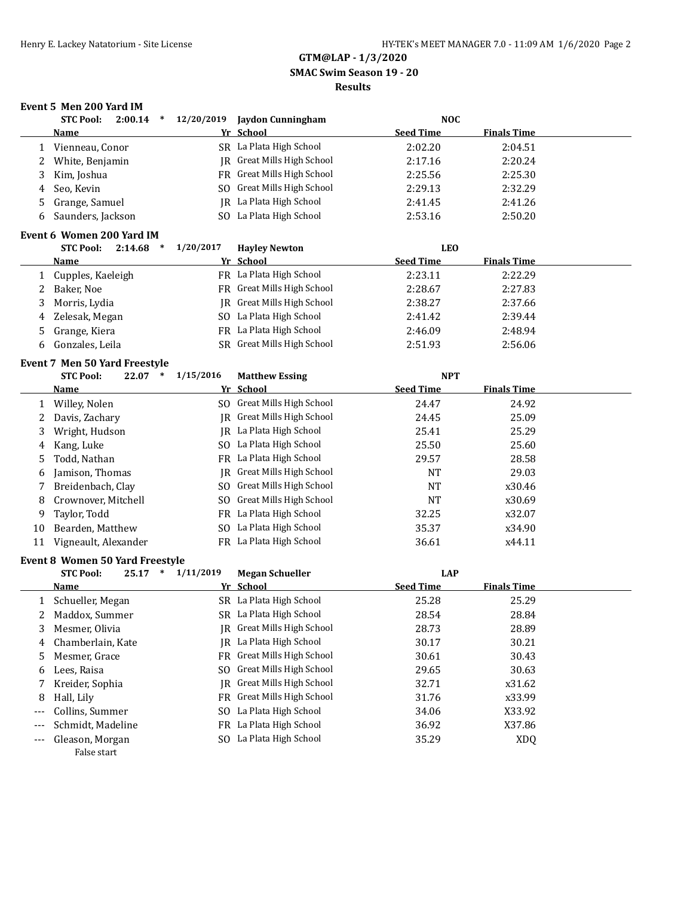# **GTM@LAP - 1/3/2020 SMAC Swim Season 19 - 20**

# **Results**

# **Event 5 Men 200 Yard IM**

|     | <b>STC Pool:</b>                | $2:00.14$ * $12/20/2019$ | <b>Jaydon Cunningham</b>       | <b>NOC</b>       |                    |  |
|-----|---------------------------------|--------------------------|--------------------------------|------------------|--------------------|--|
|     | Name                            |                          | Yr School                      | <b>Seed Time</b> | <b>Finals Time</b> |  |
| 1   | Vienneau, Conor                 |                          | SR La Plata High School        | 2:02.20          | 2:04.51            |  |
| 2   | White, Benjamin                 |                          | JR Great Mills High School     | 2:17.16          | 2:20.24            |  |
| 3   | Kim, Joshua                     |                          | FR Great Mills High School     | 2:25.56          | 2:25.30            |  |
| 4   | Seo, Kevin                      |                          | SO Great Mills High School     | 2:29.13          | 2:32.29            |  |
| 5   | Grange, Samuel                  |                          | JR La Plata High School        | 2:41.45          | 2:41.26            |  |
| 6   | Saunders, Jackson               |                          | SO La Plata High School        | 2:53.16          | 2:50.20            |  |
|     | Event 6 Women 200 Yard IM       |                          |                                |                  |                    |  |
|     | <b>STC Pool:</b><br>2:14.68     | 1/20/2017<br>$\ast$      | <b>Hayley Newton</b>           | <b>LEO</b>       |                    |  |
|     | <u>Name</u>                     |                          | Yr School                      | <b>Seed Time</b> | <b>Finals Time</b> |  |
| 1   | Cupples, Kaeleigh               |                          | FR La Plata High School        | 2:23.11          | 2:22.29            |  |
| 2   | Baker, Noe                      |                          | FR Great Mills High School     | 2:28.67          | 2:27.83            |  |
| 3   | Morris, Lydia                   |                          | JR Great Mills High School     | 2:38.27          | 2:37.66            |  |
| 4   | Zelesak, Megan                  |                          | SO La Plata High School        | 2:41.42          | 2:39.44            |  |
| 5   | Grange, Kiera                   |                          | FR La Plata High School        | 2:46.09          | 2:48.94            |  |
| 6   | Gonzales, Leila                 |                          | SR Great Mills High School     | 2:51.93          | 2:56.06            |  |
|     | Event 7 Men 50 Yard Freestyle   |                          |                                |                  |                    |  |
|     | <b>STC Pool:</b><br>$22.07$ *   | 1/15/2016                | <b>Matthew Essing</b>          | <b>NPT</b>       |                    |  |
|     | <u>Name</u>                     |                          | Yr School                      | <b>Seed Time</b> | <b>Finals Time</b> |  |
| 1   | Willey, Nolen                   |                          | SO Great Mills High School     | 24.47            | 24.92              |  |
| 2   | Davis, Zachary                  |                          | JR Great Mills High School     | 24.45            | 25.09              |  |
| 3   | Wright, Hudson                  |                          | JR La Plata High School        | 25.41            | 25.29              |  |
| 4   | Kang, Luke                      |                          | SO La Plata High School        | 25.50            | 25.60              |  |
| 5   | Todd, Nathan                    |                          | FR La Plata High School        | 29.57            | 28.58              |  |
| 6   | Jamison, Thomas                 |                          | JR Great Mills High School     | <b>NT</b>        | 29.03              |  |
| 7   | Breidenbach, Clay               |                          | SO Great Mills High School     | NT               | x30.46             |  |
| 8   | Crownover, Mitchell             |                          | SO Great Mills High School     | <b>NT</b>        | x30.69             |  |
| 9   | Taylor, Todd                    |                          | FR La Plata High School        | 32.25            | x32.07             |  |
| 10  | Bearden, Matthew                |                          | SO La Plata High School        | 35.37            | x34.90             |  |
| 11  | Vigneault, Alexander            |                          | FR La Plata High School        | 36.61            | x44.11             |  |
|     | Event 8 Women 50 Yard Freestyle |                          |                                |                  |                    |  |
|     | <b>STC Pool:</b><br>$25.17$ *   | 1/11/2019                | <b>Megan Schueller</b>         | <b>LAP</b>       |                    |  |
|     | Name                            |                          | Yr School                      | <b>Seed Time</b> | <b>Finals Time</b> |  |
| 1   | Schueller, Megan                |                          | SR La Plata High School        | 25.28            | 25.29              |  |
| 2   | Maddox, Summer                  |                          | SR La Plata High School        | 28.54            | 28.84              |  |
| 3   | Mesmer, Olivia                  |                          | JR Great Mills High School     | 28.73            | 28.89              |  |
| 4   | Chamberlain, Kate               |                          | JR La Plata High School        | 30.17            | 30.21              |  |
| 5   | Mesmer, Grace                   | FR                       | <b>Great Mills High School</b> | 30.61            | 30.43              |  |
| 6   | Lees, Raisa                     | SO                       | Great Mills High School        | 29.65            | 30.63              |  |
| 7   | Kreider, Sophia                 | IR                       | Great Mills High School        | 32.71            | x31.62             |  |
| 8   | Hall, Lily                      | FR                       | Great Mills High School        | 31.76            | x33.99             |  |
| --- | Collins, Summer                 |                          | SO La Plata High School        | 34.06            | X33.92             |  |

--- Schmidt, Madeline FR La Plata High School 36.92 X37.86 --- Gleason, Morgan SO La Plata High School 35.29 XDQ False start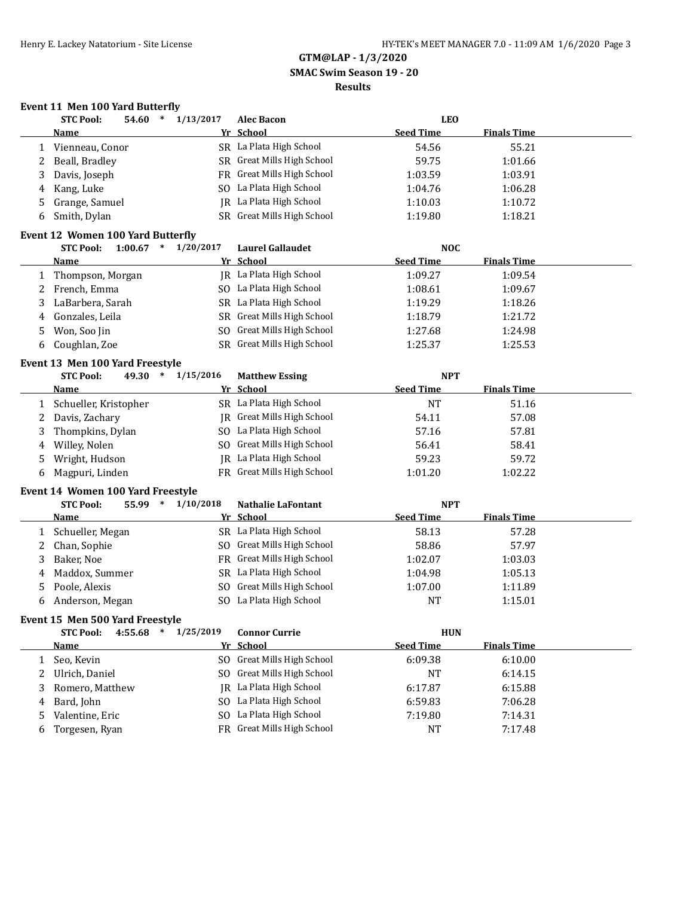**GTM@LAP - 1/3/2020 SMAC Swim Season 19 - 20**

# **Results**

# **Event 11 Men 100 Yard Butterfly**

|   | <b>STC Pool:</b>                         | $\ast$<br>54.60 | 1/13/2017               | <b>Alec Bacon</b>                 | <b>LEO</b>       |                    |  |
|---|------------------------------------------|-----------------|-------------------------|-----------------------------------|------------------|--------------------|--|
|   | <b>Name</b>                              |                 |                         | Yr School                         | <b>Seed Time</b> | <b>Finals Time</b> |  |
| 1 | Vienneau, Conor                          |                 |                         | SR La Plata High School           | 54.56            | 55.21              |  |
| 2 | Beall, Bradley                           |                 |                         | SR Great Mills High School        | 59.75            | 1:01.66            |  |
| 3 | Davis, Joseph                            |                 |                         | FR Great Mills High School        | 1:03.59          | 1:03.91            |  |
| 4 | Kang, Luke                               |                 |                         | SO La Plata High School           | 1:04.76          | 1:06.28            |  |
| 5 | Grange, Samuel                           |                 |                         | JR La Plata High School           | 1:10.03          | 1:10.72            |  |
| 6 | Smith, Dylan                             |                 |                         | SR Great Mills High School        | 1:19.80          | 1:18.21            |  |
|   | <b>Event 12 Women 100 Yard Butterfly</b> |                 |                         |                                   |                  |                    |  |
|   | <b>STC Pool:</b>                         |                 | $1:00.67$ * $1/20/2017$ | <b>Laurel Gallaudet</b>           | <b>NOC</b>       |                    |  |
|   | <b>Name</b>                              |                 |                         | Yr School                         | <b>Seed Time</b> | <b>Finals Time</b> |  |
| 1 | Thompson, Morgan                         |                 |                         | JR La Plata High School           | 1:09.27          | 1:09.54            |  |
| 2 | French, Emma                             |                 |                         | SO La Plata High School           | 1:08.61          | 1:09.67            |  |
| 3 | LaBarbera, Sarah                         |                 |                         | SR La Plata High School           | 1:19.29          | 1:18.26            |  |
| 4 | Gonzales, Leila                          |                 |                         | SR Great Mills High School        | 1:18.79          | 1:21.72            |  |
| 5 | Won, Soo Jin                             |                 |                         | SO Great Mills High School        | 1:27.68          | 1:24.98            |  |
| 6 | Coughlan, Zoe                            |                 |                         | SR Great Mills High School        | 1:25.37          | 1:25.53            |  |
|   | Event 13 Men 100 Yard Freestyle          |                 |                         |                                   |                  |                    |  |
|   | <b>STC Pool:</b>                         | 49.30 *         | 1/15/2016               | <b>Matthew Essing</b>             | <b>NPT</b>       |                    |  |
|   | Name                                     |                 |                         | Yr School                         | <b>Seed Time</b> | <b>Finals Time</b> |  |
| 1 | Schueller, Kristopher                    |                 |                         | SR La Plata High School           | <b>NT</b>        | 51.16              |  |
| 2 | Davis, Zachary                           |                 |                         | <b>IR</b> Great Mills High School | 54.11            | 57.08              |  |
| 3 | Thompkins, Dylan                         |                 |                         | SO La Plata High School           | 57.16            | 57.81              |  |
| 4 | Willey, Nolen                            |                 |                         | SO Great Mills High School        | 56.41            | 58.41              |  |
| 5 | Wright, Hudson                           |                 |                         | JR La Plata High School           | 59.23            | 59.72              |  |
| 6 | Magpuri, Linden                          |                 |                         | FR Great Mills High School        | 1:01.20          | 1:02.22            |  |
|   | Event 14 Women 100 Yard Freestyle        |                 |                         |                                   |                  |                    |  |
|   | <b>STC Pool:</b>                         | 55.99 *         | 1/10/2018               | <b>Nathalie LaFontant</b>         | <b>NPT</b>       |                    |  |
|   | <b>Name</b>                              |                 |                         | Yr School                         | <b>Seed Time</b> | <b>Finals Time</b> |  |
| 1 | Schueller, Megan                         |                 |                         | SR La Plata High School           | 58.13            | 57.28              |  |
| 2 | Chan, Sophie                             |                 |                         | SO Great Mills High School        | 58.86            | 57.97              |  |
| 3 | Baker, Noe                               |                 |                         | FR Great Mills High School        | 1:02.07          | 1:03.03            |  |
| 4 | Maddox, Summer                           |                 |                         | SR La Plata High School           | 1:04.98          | 1:05.13            |  |
| 5 | Poole, Alexis                            |                 |                         | SO Great Mills High School        | 1:07.00          | 1:11.89            |  |
| 6 | Anderson, Megan                          |                 |                         | SO La Plata High School           | <b>NT</b>        | 1:15.01            |  |
|   | Event 15 Men 500 Yard Freestyle          |                 |                         |                                   |                  |                    |  |
|   | <b>STC Pool:</b>                         |                 | 4:55.68 * 1/25/2019     | <b>Connor Currie</b>              | <b>HUN</b>       |                    |  |
|   | <b>Name</b>                              |                 |                         | Yr School                         | <b>Seed Time</b> | <b>Finals Time</b> |  |
| 1 | Seo, Kevin                               |                 |                         | SO Great Mills High School        | 6:09.38          | 6:10.00            |  |
| 2 | Ulrich, Daniel                           |                 | SO.                     | <b>Great Mills High School</b>    | NT               | 6:14.15            |  |
| 3 | Romero, Matthew                          |                 | IR                      | La Plata High School              | 6:17.87          | 6:15.88            |  |
| 4 | Bard, John                               |                 |                         | SO La Plata High School           | 6:59.83          | 7:06.28            |  |
| 5 | Valentine, Eric                          |                 |                         | SO La Plata High School           | 7:19.80          | 7:14.31            |  |
| 6 | Torgesen, Ryan                           |                 |                         | FR Great Mills High School        | NT               | 7:17.48            |  |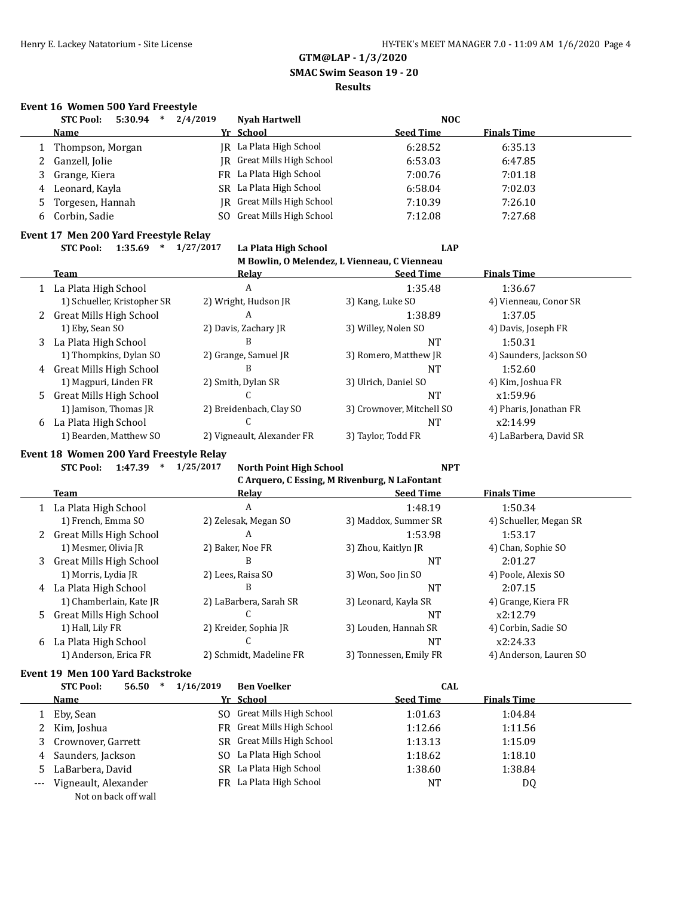**GTM@LAP - 1/3/2020 SMAC Swim Season 19 - 20**

#### **Results**

### **Event 16 Women 500 Yard Freestyle**

|    | <b>STC Pool:</b><br>5:30.94<br>$\ast$ | 2/4/2019  | <b>Nyah Hartwell</b>           | <b>NOC</b>                                   |                         |
|----|---------------------------------------|-----------|--------------------------------|----------------------------------------------|-------------------------|
|    | <b>Name</b>                           |           | Yr School                      | <b>Seed Time</b>                             | <b>Finals Time</b>      |
|    | Thompson, Morgan                      |           | JR La Plata High School        | 6:28.52                                      | 6:35.13                 |
|    | Ganzell, Jolie                        | IR        | <b>Great Mills High School</b> | 6:53.03                                      | 6:47.85                 |
| 3  | Grange, Kiera                         | FR        | La Plata High School           | 7:00.76                                      | 7:01.18                 |
| 4  | Leonard, Kayla                        | SR.       | La Plata High School           | 6:58.04                                      | 7:02.03                 |
| 5  | Torgesen, Hannah                      | IR        | Great Mills High School        | 7:10.39                                      | 7:26.10                 |
| 6  | Corbin, Sadie                         | SO.       | Great Mills High School        | 7:12.08                                      | 7:27.68                 |
|    | Event 17 Men 200 Yard Freestyle Relay |           |                                |                                              |                         |
|    | <b>STC Pool:</b><br>1:35.69<br>$\ast$ | 1/27/2017 | La Plata High School           | <b>LAP</b>                                   |                         |
|    |                                       |           |                                | M Bowlin, O Melendez, L Vienneau, C Vienneau |                         |
|    | <b>Team</b>                           |           | Relay                          | <b>Seed Time</b>                             | <b>Finals Time</b>      |
|    | 1 La Plata High School                |           | A                              | 1:35.48                                      | 1:36.67                 |
|    | 1) Schueller, Kristopher SR           |           | 2) Wright, Hudson JR           | 3) Kang, Luke SO                             | 4) Vienneau, Conor SR   |
| 2  | <b>Great Mills High School</b>        |           | A                              | 1:38.89                                      | 1:37.05                 |
|    | 1) Eby, Sean SO                       |           | 2) Davis, Zachary JR           | 3) Willey, Nolen SO                          | 4) Davis, Joseph FR     |
| 3  | La Plata High School                  |           | B                              | <b>NT</b>                                    | 1:50.31                 |
|    | 1) Thompkins, Dylan SO                |           | 2) Grange, Samuel JR           | 3) Romero, Matthew JR                        | 4) Saunders, Jackson SO |
| 4  | <b>Great Mills High School</b>        |           | B                              | <b>NT</b>                                    | 1:52.60                 |
|    | 1) Magpuri, Linden FR                 |           | 2) Smith, Dylan SR             | 3) Ulrich, Daniel SO                         | 4) Kim, Joshua FR       |
| 5. | <b>Great Mills High School</b>        |           |                                | <b>NT</b>                                    | x1:59.96                |
|    | 1) Jamison, Thomas JR                 |           | 2) Breidenbach, Clay SO        | 3) Crownover, Mitchell SO                    | 4) Pharis, Jonathan FR  |
| 6  | La Plata High School                  |           | C                              | <b>NT</b>                                    | x2:14.99                |
|    | 1) Bearden, Matthew SO                |           | 2) Vigneault, Alexander FR     | 3) Taylor, Todd FR                           | 4) LaBarbera, David SR  |

### **Event 18 Women 200 Yard Freestyle Relay**

| <b>STC Pool:</b> | 1:47.39 |  | 1/25/2017 |
|------------------|---------|--|-----------|
|------------------|---------|--|-----------|

|   | C Arquero, C Essing, M Rivenburg, N LaFontant |                         |                        |                        |  |  |  |  |
|---|-----------------------------------------------|-------------------------|------------------------|------------------------|--|--|--|--|
|   | Team                                          | Relay                   | <b>Seed Time</b>       | <b>Finals Time</b>     |  |  |  |  |
|   | 1 La Plata High School                        | A                       | 1:48.19                | 1:50.34                |  |  |  |  |
|   | 1) French, Emma SO                            | 2) Zelesak, Megan SO    | 3) Maddox, Summer SR   | 4) Schueller, Megan SR |  |  |  |  |
|   | 2 Great Mills High School                     | A                       | 1:53.98                | 1:53.17                |  |  |  |  |
|   | 1) Mesmer, Olivia JR                          | 2) Baker, Noe FR        | 3) Zhou, Kaitlyn JR    | 4) Chan, Sophie SO     |  |  |  |  |
|   | 3 Great Mills High School                     | B                       | <b>NT</b>              | 2:01.27                |  |  |  |  |
|   | 1) Morris, Lydia JR                           | 2) Lees, Raisa SO       | 3) Won, Soo Jin SO     | 4) Poole, Alexis SO    |  |  |  |  |
| 4 | La Plata High School                          | В                       | <b>NT</b>              | 2:07.15                |  |  |  |  |
|   | 1) Chamberlain, Kate JR                       | 2) LaBarbera, Sarah SR  | 3) Leonard, Kayla SR   | 4) Grange, Kiera FR    |  |  |  |  |
|   | 5 Great Mills High School                     |                         | <b>NT</b>              | x2:12.79               |  |  |  |  |
|   | 1) Hall, Lily FR                              | 2) Kreider, Sophia JR   | 3) Louden, Hannah SR   | 4) Corbin, Sadie SO    |  |  |  |  |
| 6 | La Plata High School                          |                         | <b>NT</b>              | x2:24.33               |  |  |  |  |
|   | 1) Anderson, Erica FR                         | 2) Schmidt, Madeline FR | 3) Tonnessen, Emily FR | 4) Anderson, Lauren SO |  |  |  |  |

**STC Pool: 1:47.39 \* 1/25/2017 North Point High School NPT**

# **Event 19 Men 100 Yard Backstroke**

|       | <b>STC Pool:</b><br>56.50<br>$\ast$ | 1/16/2019 | <b>Ben Voelker</b>         | <b>CAL</b>       |                    |  |
|-------|-------------------------------------|-----------|----------------------------|------------------|--------------------|--|
|       | Name                                |           | Yr School                  | <b>Seed Time</b> | <b>Finals Time</b> |  |
|       | Eby, Sean                           |           | SO Great Mills High School | 1:01.63          | 1:04.84            |  |
|       | 2 Kim, Joshua                       |           | FR Great Mills High School | 1:12.66          | 1:11.56            |  |
| 3     | Crownover, Garrett                  |           | SR Great Mills High School | 1:13.13          | 1:15.09            |  |
|       | 4 Saunders, Jackson                 |           | SO La Plata High School    | 1:18.62          | 1:18.10            |  |
|       | 5 LaBarbera, David                  |           | SR La Plata High School    | 1:38.60          | 1:38.84            |  |
| $---$ | Vigneault, Alexander                |           | FR La Plata High School    | NT               | DQ                 |  |
|       | Not on back off wall                |           |                            |                  |                    |  |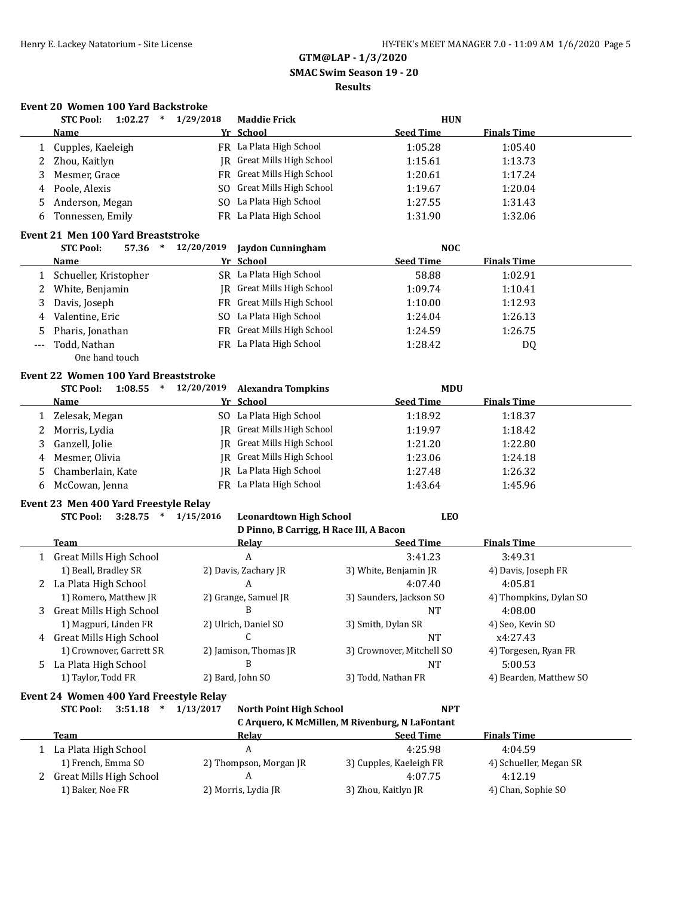# **GTM@LAP - 1/3/2020 SMAC Swim Season 19 - 20 Results**

### **Event 20 Women 100 Yard Backstroke**

| <b>Seed Time</b><br>Yr School<br><b>Finals Time</b><br><b>Name</b><br>FR La Plata High School<br>Cupples, Kaeleigh<br>1:05.28<br>1:05.40<br>1<br>JR Great Mills High School<br>Zhou, Kaitlyn<br>1:15.61<br>1:13.73<br>2<br>FR Great Mills High School<br>3<br>Mesmer, Grace<br>1:20.61<br>1:17.24<br>SO Great Mills High School<br>Poole, Alexis<br>1:19.67<br>1:20.04<br>4<br>SO La Plata High School<br>Anderson, Megan<br>1:27.55<br>1:31.43<br>5<br>FR La Plata High School<br>Tonnessen, Emily<br>1:31.90<br>1:32.06<br>6<br><b>Event 21 Men 100 Yard Breaststroke</b><br>12/20/2019<br><b>STC Pool:</b><br>57.36<br>$\ast$<br>Jaydon Cunningham<br><b>NOC</b><br><b>Seed Time</b><br>Yr School<br><b>Finals Time</b><br>Name<br>SR La Plata High School<br>58.88<br>Schueller, Kristopher<br>1:02.91<br>1<br><b>IR</b> Great Mills High School<br>White, Benjamin<br>1:09.74<br>1:10.41<br>2<br>FR Great Mills High School<br>Davis, Joseph<br>1:12.93<br>3<br>1:10.00<br>SO La Plata High School<br>Valentine, Eric<br>1:26.13<br>1:24.04<br>4<br>FR Great Mills High School<br>Pharis, Jonathan<br>1:26.75<br>5<br>1:24.59<br>FR La Plata High School<br>Todd, Nathan<br>1:28.42<br>DQ<br>---<br>One hand touch<br><b>Event 22 Women 100 Yard Breaststroke</b><br>12/20/2019<br><b>STC Pool:</b><br>$\ast$<br><b>MDU</b><br>1:08.55<br><b>Alexandra Tompkins</b><br>Yr School<br><b>Seed Time</b><br><b>Finals Time</b><br><b>Name</b><br>SO La Plata High School<br>1:18.92<br>1:18.37<br>Zelesak, Megan<br>1<br><b>IR</b> Great Mills High School<br>Morris, Lydia<br>1:18.42<br>2<br>1:19.97<br>JR Great Mills High School<br>Ganzell, Jolie<br>1:21.20<br>1:22.80<br>3<br><b>IR</b> Great Mills High School<br>Mesmer, Olivia<br>1:23.06<br>1:24.18<br>4<br>JR La Plata High School<br>Chamberlain, Kate<br>1:27.48<br>1:26.32<br>5<br>FR La Plata High School<br>McCowan, Jenna<br>1:43.64<br>6<br>1:45.96<br>Event 23 Men 400 Yard Freestyle Relay<br><b>STC Pool:</b><br>3:28.75<br>$\ast$<br>1/15/2016<br><b>Leonardtown High School</b><br><b>LEO</b><br>D Pinno, B Carrigg, H Race III, A Bacon<br><b>Seed Time</b><br><b>Finals Time</b><br>Team<br><b>Relay</b><br>A<br><b>Great Mills High School</b><br>3:41.23<br>3:49.31<br>1<br>1) Beall, Bradley SR<br>2) Davis, Zachary JR<br>3) White, Benjamin JR<br>4) Davis, Joseph FR<br>A<br>2 La Plata High School<br>4:07.40<br>4:05.81<br>2) Grange, Samuel JR<br>1) Romero, Matthew JR<br>3) Saunders, Jackson SO<br>4) Thompkins, Dylan SO<br>B<br><b>Great Mills High School</b><br>NT<br>4:08.00<br>3<br>1) Magpuri, Linden FR<br>2) Ulrich, Daniel SO<br>3) Smith, Dylan SR<br>4) Seo, Kevin SO<br><b>Great Mills High School</b><br>C<br>x4:27.43<br><b>NT</b><br>4<br>2) Jamison, Thomas JR<br>1) Crownover, Garrett SR<br>3) Crownover, Mitchell SO<br>4) Torgesen, Ryan FR<br>La Plata High School<br><b>NT</b><br>5:00.53<br>B<br>5.<br>1) Taylor, Todd FR<br>2) Bard, John SO<br>3) Todd, Nathan FR<br>4) Bearden, Matthew SO<br>Event 24 Women 400 Yard Freestyle Relay<br>1/13/2017<br><b>STC Pool:</b><br>3:51.18<br>$\ast$<br><b>North Point High School</b><br><b>NPT</b><br>C Arquero, K McMillen, M Rivenburg, N LaFontant<br><b>Team</b><br><b>Finals Time</b><br><b>Seed Time</b><br><u>Relay</u><br>A<br>1 La Plata High School<br>4:25.98<br>4:04.59<br>1) French, Emma SO<br>2) Thompson, Morgan JR<br>3) Cupples, Kaeleigh FR<br>4) Schueller, Megan SR<br>4:12.19<br><b>Great Mills High School</b><br>A<br>4:07.75<br>2<br>1) Baker, Noe FR<br>2) Morris, Lydia JR | <b>STC Pool:</b> | 1:02.27 | 1/29/2018<br>$\ast$ | <b>Maddie Frick</b> | <b>HUN</b>          |                    |  |
|------------------------------------------------------------------------------------------------------------------------------------------------------------------------------------------------------------------------------------------------------------------------------------------------------------------------------------------------------------------------------------------------------------------------------------------------------------------------------------------------------------------------------------------------------------------------------------------------------------------------------------------------------------------------------------------------------------------------------------------------------------------------------------------------------------------------------------------------------------------------------------------------------------------------------------------------------------------------------------------------------------------------------------------------------------------------------------------------------------------------------------------------------------------------------------------------------------------------------------------------------------------------------------------------------------------------------------------------------------------------------------------------------------------------------------------------------------------------------------------------------------------------------------------------------------------------------------------------------------------------------------------------------------------------------------------------------------------------------------------------------------------------------------------------------------------------------------------------------------------------------------------------------------------------------------------------------------------------------------------------------------------------------------------------------------------------------------------------------------------------------------------------------------------------------------------------------------------------------------------------------------------------------------------------------------------------------------------------------------------------------------------------------------------------------------------------------------------------------------------------------------------------------------------------------------------------------------------------------------------------------------------------------------------------------------------------------------------------------------------------------------------------------------------------------------------------------------------------------------------------------------------------------------------------------------------------------------------------------------------------------------------------------------------------------------------------------------------------------------------------------------------------------------------------------------------------------------------------------------------------------------------------------------------------------------------------------------------------------------------------------------------------------------------------------------------------------------------------------------------------------------------------------------------------------------------|------------------|---------|---------------------|---------------------|---------------------|--------------------|--|
|                                                                                                                                                                                                                                                                                                                                                                                                                                                                                                                                                                                                                                                                                                                                                                                                                                                                                                                                                                                                                                                                                                                                                                                                                                                                                                                                                                                                                                                                                                                                                                                                                                                                                                                                                                                                                                                                                                                                                                                                                                                                                                                                                                                                                                                                                                                                                                                                                                                                                                                                                                                                                                                                                                                                                                                                                                                                                                                                                                                                                                                                                                                                                                                                                                                                                                                                                                                                                                                                                                                                                                  |                  |         |                     |                     |                     |                    |  |
|                                                                                                                                                                                                                                                                                                                                                                                                                                                                                                                                                                                                                                                                                                                                                                                                                                                                                                                                                                                                                                                                                                                                                                                                                                                                                                                                                                                                                                                                                                                                                                                                                                                                                                                                                                                                                                                                                                                                                                                                                                                                                                                                                                                                                                                                                                                                                                                                                                                                                                                                                                                                                                                                                                                                                                                                                                                                                                                                                                                                                                                                                                                                                                                                                                                                                                                                                                                                                                                                                                                                                                  |                  |         |                     |                     |                     |                    |  |
|                                                                                                                                                                                                                                                                                                                                                                                                                                                                                                                                                                                                                                                                                                                                                                                                                                                                                                                                                                                                                                                                                                                                                                                                                                                                                                                                                                                                                                                                                                                                                                                                                                                                                                                                                                                                                                                                                                                                                                                                                                                                                                                                                                                                                                                                                                                                                                                                                                                                                                                                                                                                                                                                                                                                                                                                                                                                                                                                                                                                                                                                                                                                                                                                                                                                                                                                                                                                                                                                                                                                                                  |                  |         |                     |                     |                     |                    |  |
|                                                                                                                                                                                                                                                                                                                                                                                                                                                                                                                                                                                                                                                                                                                                                                                                                                                                                                                                                                                                                                                                                                                                                                                                                                                                                                                                                                                                                                                                                                                                                                                                                                                                                                                                                                                                                                                                                                                                                                                                                                                                                                                                                                                                                                                                                                                                                                                                                                                                                                                                                                                                                                                                                                                                                                                                                                                                                                                                                                                                                                                                                                                                                                                                                                                                                                                                                                                                                                                                                                                                                                  |                  |         |                     |                     |                     |                    |  |
|                                                                                                                                                                                                                                                                                                                                                                                                                                                                                                                                                                                                                                                                                                                                                                                                                                                                                                                                                                                                                                                                                                                                                                                                                                                                                                                                                                                                                                                                                                                                                                                                                                                                                                                                                                                                                                                                                                                                                                                                                                                                                                                                                                                                                                                                                                                                                                                                                                                                                                                                                                                                                                                                                                                                                                                                                                                                                                                                                                                                                                                                                                                                                                                                                                                                                                                                                                                                                                                                                                                                                                  |                  |         |                     |                     |                     |                    |  |
|                                                                                                                                                                                                                                                                                                                                                                                                                                                                                                                                                                                                                                                                                                                                                                                                                                                                                                                                                                                                                                                                                                                                                                                                                                                                                                                                                                                                                                                                                                                                                                                                                                                                                                                                                                                                                                                                                                                                                                                                                                                                                                                                                                                                                                                                                                                                                                                                                                                                                                                                                                                                                                                                                                                                                                                                                                                                                                                                                                                                                                                                                                                                                                                                                                                                                                                                                                                                                                                                                                                                                                  |                  |         |                     |                     |                     |                    |  |
|                                                                                                                                                                                                                                                                                                                                                                                                                                                                                                                                                                                                                                                                                                                                                                                                                                                                                                                                                                                                                                                                                                                                                                                                                                                                                                                                                                                                                                                                                                                                                                                                                                                                                                                                                                                                                                                                                                                                                                                                                                                                                                                                                                                                                                                                                                                                                                                                                                                                                                                                                                                                                                                                                                                                                                                                                                                                                                                                                                                                                                                                                                                                                                                                                                                                                                                                                                                                                                                                                                                                                                  |                  |         |                     |                     |                     |                    |  |
|                                                                                                                                                                                                                                                                                                                                                                                                                                                                                                                                                                                                                                                                                                                                                                                                                                                                                                                                                                                                                                                                                                                                                                                                                                                                                                                                                                                                                                                                                                                                                                                                                                                                                                                                                                                                                                                                                                                                                                                                                                                                                                                                                                                                                                                                                                                                                                                                                                                                                                                                                                                                                                                                                                                                                                                                                                                                                                                                                                                                                                                                                                                                                                                                                                                                                                                                                                                                                                                                                                                                                                  |                  |         |                     |                     |                     |                    |  |
|                                                                                                                                                                                                                                                                                                                                                                                                                                                                                                                                                                                                                                                                                                                                                                                                                                                                                                                                                                                                                                                                                                                                                                                                                                                                                                                                                                                                                                                                                                                                                                                                                                                                                                                                                                                                                                                                                                                                                                                                                                                                                                                                                                                                                                                                                                                                                                                                                                                                                                                                                                                                                                                                                                                                                                                                                                                                                                                                                                                                                                                                                                                                                                                                                                                                                                                                                                                                                                                                                                                                                                  |                  |         |                     |                     |                     |                    |  |
|                                                                                                                                                                                                                                                                                                                                                                                                                                                                                                                                                                                                                                                                                                                                                                                                                                                                                                                                                                                                                                                                                                                                                                                                                                                                                                                                                                                                                                                                                                                                                                                                                                                                                                                                                                                                                                                                                                                                                                                                                                                                                                                                                                                                                                                                                                                                                                                                                                                                                                                                                                                                                                                                                                                                                                                                                                                                                                                                                                                                                                                                                                                                                                                                                                                                                                                                                                                                                                                                                                                                                                  |                  |         |                     |                     |                     |                    |  |
|                                                                                                                                                                                                                                                                                                                                                                                                                                                                                                                                                                                                                                                                                                                                                                                                                                                                                                                                                                                                                                                                                                                                                                                                                                                                                                                                                                                                                                                                                                                                                                                                                                                                                                                                                                                                                                                                                                                                                                                                                                                                                                                                                                                                                                                                                                                                                                                                                                                                                                                                                                                                                                                                                                                                                                                                                                                                                                                                                                                                                                                                                                                                                                                                                                                                                                                                                                                                                                                                                                                                                                  |                  |         |                     |                     |                     |                    |  |
|                                                                                                                                                                                                                                                                                                                                                                                                                                                                                                                                                                                                                                                                                                                                                                                                                                                                                                                                                                                                                                                                                                                                                                                                                                                                                                                                                                                                                                                                                                                                                                                                                                                                                                                                                                                                                                                                                                                                                                                                                                                                                                                                                                                                                                                                                                                                                                                                                                                                                                                                                                                                                                                                                                                                                                                                                                                                                                                                                                                                                                                                                                                                                                                                                                                                                                                                                                                                                                                                                                                                                                  |                  |         |                     |                     |                     |                    |  |
|                                                                                                                                                                                                                                                                                                                                                                                                                                                                                                                                                                                                                                                                                                                                                                                                                                                                                                                                                                                                                                                                                                                                                                                                                                                                                                                                                                                                                                                                                                                                                                                                                                                                                                                                                                                                                                                                                                                                                                                                                                                                                                                                                                                                                                                                                                                                                                                                                                                                                                                                                                                                                                                                                                                                                                                                                                                                                                                                                                                                                                                                                                                                                                                                                                                                                                                                                                                                                                                                                                                                                                  |                  |         |                     |                     |                     |                    |  |
|                                                                                                                                                                                                                                                                                                                                                                                                                                                                                                                                                                                                                                                                                                                                                                                                                                                                                                                                                                                                                                                                                                                                                                                                                                                                                                                                                                                                                                                                                                                                                                                                                                                                                                                                                                                                                                                                                                                                                                                                                                                                                                                                                                                                                                                                                                                                                                                                                                                                                                                                                                                                                                                                                                                                                                                                                                                                                                                                                                                                                                                                                                                                                                                                                                                                                                                                                                                                                                                                                                                                                                  |                  |         |                     |                     |                     |                    |  |
|                                                                                                                                                                                                                                                                                                                                                                                                                                                                                                                                                                                                                                                                                                                                                                                                                                                                                                                                                                                                                                                                                                                                                                                                                                                                                                                                                                                                                                                                                                                                                                                                                                                                                                                                                                                                                                                                                                                                                                                                                                                                                                                                                                                                                                                                                                                                                                                                                                                                                                                                                                                                                                                                                                                                                                                                                                                                                                                                                                                                                                                                                                                                                                                                                                                                                                                                                                                                                                                                                                                                                                  |                  |         |                     |                     |                     |                    |  |
|                                                                                                                                                                                                                                                                                                                                                                                                                                                                                                                                                                                                                                                                                                                                                                                                                                                                                                                                                                                                                                                                                                                                                                                                                                                                                                                                                                                                                                                                                                                                                                                                                                                                                                                                                                                                                                                                                                                                                                                                                                                                                                                                                                                                                                                                                                                                                                                                                                                                                                                                                                                                                                                                                                                                                                                                                                                                                                                                                                                                                                                                                                                                                                                                                                                                                                                                                                                                                                                                                                                                                                  |                  |         |                     |                     |                     |                    |  |
|                                                                                                                                                                                                                                                                                                                                                                                                                                                                                                                                                                                                                                                                                                                                                                                                                                                                                                                                                                                                                                                                                                                                                                                                                                                                                                                                                                                                                                                                                                                                                                                                                                                                                                                                                                                                                                                                                                                                                                                                                                                                                                                                                                                                                                                                                                                                                                                                                                                                                                                                                                                                                                                                                                                                                                                                                                                                                                                                                                                                                                                                                                                                                                                                                                                                                                                                                                                                                                                                                                                                                                  |                  |         |                     |                     |                     |                    |  |
|                                                                                                                                                                                                                                                                                                                                                                                                                                                                                                                                                                                                                                                                                                                                                                                                                                                                                                                                                                                                                                                                                                                                                                                                                                                                                                                                                                                                                                                                                                                                                                                                                                                                                                                                                                                                                                                                                                                                                                                                                                                                                                                                                                                                                                                                                                                                                                                                                                                                                                                                                                                                                                                                                                                                                                                                                                                                                                                                                                                                                                                                                                                                                                                                                                                                                                                                                                                                                                                                                                                                                                  |                  |         |                     |                     |                     |                    |  |
|                                                                                                                                                                                                                                                                                                                                                                                                                                                                                                                                                                                                                                                                                                                                                                                                                                                                                                                                                                                                                                                                                                                                                                                                                                                                                                                                                                                                                                                                                                                                                                                                                                                                                                                                                                                                                                                                                                                                                                                                                                                                                                                                                                                                                                                                                                                                                                                                                                                                                                                                                                                                                                                                                                                                                                                                                                                                                                                                                                                                                                                                                                                                                                                                                                                                                                                                                                                                                                                                                                                                                                  |                  |         |                     |                     |                     |                    |  |
|                                                                                                                                                                                                                                                                                                                                                                                                                                                                                                                                                                                                                                                                                                                                                                                                                                                                                                                                                                                                                                                                                                                                                                                                                                                                                                                                                                                                                                                                                                                                                                                                                                                                                                                                                                                                                                                                                                                                                                                                                                                                                                                                                                                                                                                                                                                                                                                                                                                                                                                                                                                                                                                                                                                                                                                                                                                                                                                                                                                                                                                                                                                                                                                                                                                                                                                                                                                                                                                                                                                                                                  |                  |         |                     |                     |                     |                    |  |
|                                                                                                                                                                                                                                                                                                                                                                                                                                                                                                                                                                                                                                                                                                                                                                                                                                                                                                                                                                                                                                                                                                                                                                                                                                                                                                                                                                                                                                                                                                                                                                                                                                                                                                                                                                                                                                                                                                                                                                                                                                                                                                                                                                                                                                                                                                                                                                                                                                                                                                                                                                                                                                                                                                                                                                                                                                                                                                                                                                                                                                                                                                                                                                                                                                                                                                                                                                                                                                                                                                                                                                  |                  |         |                     |                     |                     |                    |  |
|                                                                                                                                                                                                                                                                                                                                                                                                                                                                                                                                                                                                                                                                                                                                                                                                                                                                                                                                                                                                                                                                                                                                                                                                                                                                                                                                                                                                                                                                                                                                                                                                                                                                                                                                                                                                                                                                                                                                                                                                                                                                                                                                                                                                                                                                                                                                                                                                                                                                                                                                                                                                                                                                                                                                                                                                                                                                                                                                                                                                                                                                                                                                                                                                                                                                                                                                                                                                                                                                                                                                                                  |                  |         |                     |                     |                     |                    |  |
|                                                                                                                                                                                                                                                                                                                                                                                                                                                                                                                                                                                                                                                                                                                                                                                                                                                                                                                                                                                                                                                                                                                                                                                                                                                                                                                                                                                                                                                                                                                                                                                                                                                                                                                                                                                                                                                                                                                                                                                                                                                                                                                                                                                                                                                                                                                                                                                                                                                                                                                                                                                                                                                                                                                                                                                                                                                                                                                                                                                                                                                                                                                                                                                                                                                                                                                                                                                                                                                                                                                                                                  |                  |         |                     |                     |                     |                    |  |
|                                                                                                                                                                                                                                                                                                                                                                                                                                                                                                                                                                                                                                                                                                                                                                                                                                                                                                                                                                                                                                                                                                                                                                                                                                                                                                                                                                                                                                                                                                                                                                                                                                                                                                                                                                                                                                                                                                                                                                                                                                                                                                                                                                                                                                                                                                                                                                                                                                                                                                                                                                                                                                                                                                                                                                                                                                                                                                                                                                                                                                                                                                                                                                                                                                                                                                                                                                                                                                                                                                                                                                  |                  |         |                     |                     |                     |                    |  |
|                                                                                                                                                                                                                                                                                                                                                                                                                                                                                                                                                                                                                                                                                                                                                                                                                                                                                                                                                                                                                                                                                                                                                                                                                                                                                                                                                                                                                                                                                                                                                                                                                                                                                                                                                                                                                                                                                                                                                                                                                                                                                                                                                                                                                                                                                                                                                                                                                                                                                                                                                                                                                                                                                                                                                                                                                                                                                                                                                                                                                                                                                                                                                                                                                                                                                                                                                                                                                                                                                                                                                                  |                  |         |                     |                     |                     |                    |  |
|                                                                                                                                                                                                                                                                                                                                                                                                                                                                                                                                                                                                                                                                                                                                                                                                                                                                                                                                                                                                                                                                                                                                                                                                                                                                                                                                                                                                                                                                                                                                                                                                                                                                                                                                                                                                                                                                                                                                                                                                                                                                                                                                                                                                                                                                                                                                                                                                                                                                                                                                                                                                                                                                                                                                                                                                                                                                                                                                                                                                                                                                                                                                                                                                                                                                                                                                                                                                                                                                                                                                                                  |                  |         |                     |                     |                     |                    |  |
|                                                                                                                                                                                                                                                                                                                                                                                                                                                                                                                                                                                                                                                                                                                                                                                                                                                                                                                                                                                                                                                                                                                                                                                                                                                                                                                                                                                                                                                                                                                                                                                                                                                                                                                                                                                                                                                                                                                                                                                                                                                                                                                                                                                                                                                                                                                                                                                                                                                                                                                                                                                                                                                                                                                                                                                                                                                                                                                                                                                                                                                                                                                                                                                                                                                                                                                                                                                                                                                                                                                                                                  |                  |         |                     |                     |                     |                    |  |
|                                                                                                                                                                                                                                                                                                                                                                                                                                                                                                                                                                                                                                                                                                                                                                                                                                                                                                                                                                                                                                                                                                                                                                                                                                                                                                                                                                                                                                                                                                                                                                                                                                                                                                                                                                                                                                                                                                                                                                                                                                                                                                                                                                                                                                                                                                                                                                                                                                                                                                                                                                                                                                                                                                                                                                                                                                                                                                                                                                                                                                                                                                                                                                                                                                                                                                                                                                                                                                                                                                                                                                  |                  |         |                     |                     |                     |                    |  |
|                                                                                                                                                                                                                                                                                                                                                                                                                                                                                                                                                                                                                                                                                                                                                                                                                                                                                                                                                                                                                                                                                                                                                                                                                                                                                                                                                                                                                                                                                                                                                                                                                                                                                                                                                                                                                                                                                                                                                                                                                                                                                                                                                                                                                                                                                                                                                                                                                                                                                                                                                                                                                                                                                                                                                                                                                                                                                                                                                                                                                                                                                                                                                                                                                                                                                                                                                                                                                                                                                                                                                                  |                  |         |                     |                     |                     |                    |  |
|                                                                                                                                                                                                                                                                                                                                                                                                                                                                                                                                                                                                                                                                                                                                                                                                                                                                                                                                                                                                                                                                                                                                                                                                                                                                                                                                                                                                                                                                                                                                                                                                                                                                                                                                                                                                                                                                                                                                                                                                                                                                                                                                                                                                                                                                                                                                                                                                                                                                                                                                                                                                                                                                                                                                                                                                                                                                                                                                                                                                                                                                                                                                                                                                                                                                                                                                                                                                                                                                                                                                                                  |                  |         |                     |                     |                     |                    |  |
|                                                                                                                                                                                                                                                                                                                                                                                                                                                                                                                                                                                                                                                                                                                                                                                                                                                                                                                                                                                                                                                                                                                                                                                                                                                                                                                                                                                                                                                                                                                                                                                                                                                                                                                                                                                                                                                                                                                                                                                                                                                                                                                                                                                                                                                                                                                                                                                                                                                                                                                                                                                                                                                                                                                                                                                                                                                                                                                                                                                                                                                                                                                                                                                                                                                                                                                                                                                                                                                                                                                                                                  |                  |         |                     |                     |                     |                    |  |
|                                                                                                                                                                                                                                                                                                                                                                                                                                                                                                                                                                                                                                                                                                                                                                                                                                                                                                                                                                                                                                                                                                                                                                                                                                                                                                                                                                                                                                                                                                                                                                                                                                                                                                                                                                                                                                                                                                                                                                                                                                                                                                                                                                                                                                                                                                                                                                                                                                                                                                                                                                                                                                                                                                                                                                                                                                                                                                                                                                                                                                                                                                                                                                                                                                                                                                                                                                                                                                                                                                                                                                  |                  |         |                     |                     |                     |                    |  |
|                                                                                                                                                                                                                                                                                                                                                                                                                                                                                                                                                                                                                                                                                                                                                                                                                                                                                                                                                                                                                                                                                                                                                                                                                                                                                                                                                                                                                                                                                                                                                                                                                                                                                                                                                                                                                                                                                                                                                                                                                                                                                                                                                                                                                                                                                                                                                                                                                                                                                                                                                                                                                                                                                                                                                                                                                                                                                                                                                                                                                                                                                                                                                                                                                                                                                                                                                                                                                                                                                                                                                                  |                  |         |                     |                     |                     |                    |  |
|                                                                                                                                                                                                                                                                                                                                                                                                                                                                                                                                                                                                                                                                                                                                                                                                                                                                                                                                                                                                                                                                                                                                                                                                                                                                                                                                                                                                                                                                                                                                                                                                                                                                                                                                                                                                                                                                                                                                                                                                                                                                                                                                                                                                                                                                                                                                                                                                                                                                                                                                                                                                                                                                                                                                                                                                                                                                                                                                                                                                                                                                                                                                                                                                                                                                                                                                                                                                                                                                                                                                                                  |                  |         |                     |                     |                     |                    |  |
|                                                                                                                                                                                                                                                                                                                                                                                                                                                                                                                                                                                                                                                                                                                                                                                                                                                                                                                                                                                                                                                                                                                                                                                                                                                                                                                                                                                                                                                                                                                                                                                                                                                                                                                                                                                                                                                                                                                                                                                                                                                                                                                                                                                                                                                                                                                                                                                                                                                                                                                                                                                                                                                                                                                                                                                                                                                                                                                                                                                                                                                                                                                                                                                                                                                                                                                                                                                                                                                                                                                                                                  |                  |         |                     |                     |                     |                    |  |
|                                                                                                                                                                                                                                                                                                                                                                                                                                                                                                                                                                                                                                                                                                                                                                                                                                                                                                                                                                                                                                                                                                                                                                                                                                                                                                                                                                                                                                                                                                                                                                                                                                                                                                                                                                                                                                                                                                                                                                                                                                                                                                                                                                                                                                                                                                                                                                                                                                                                                                                                                                                                                                                                                                                                                                                                                                                                                                                                                                                                                                                                                                                                                                                                                                                                                                                                                                                                                                                                                                                                                                  |                  |         |                     |                     |                     |                    |  |
|                                                                                                                                                                                                                                                                                                                                                                                                                                                                                                                                                                                                                                                                                                                                                                                                                                                                                                                                                                                                                                                                                                                                                                                                                                                                                                                                                                                                                                                                                                                                                                                                                                                                                                                                                                                                                                                                                                                                                                                                                                                                                                                                                                                                                                                                                                                                                                                                                                                                                                                                                                                                                                                                                                                                                                                                                                                                                                                                                                                                                                                                                                                                                                                                                                                                                                                                                                                                                                                                                                                                                                  |                  |         |                     |                     |                     |                    |  |
|                                                                                                                                                                                                                                                                                                                                                                                                                                                                                                                                                                                                                                                                                                                                                                                                                                                                                                                                                                                                                                                                                                                                                                                                                                                                                                                                                                                                                                                                                                                                                                                                                                                                                                                                                                                                                                                                                                                                                                                                                                                                                                                                                                                                                                                                                                                                                                                                                                                                                                                                                                                                                                                                                                                                                                                                                                                                                                                                                                                                                                                                                                                                                                                                                                                                                                                                                                                                                                                                                                                                                                  |                  |         |                     |                     |                     |                    |  |
|                                                                                                                                                                                                                                                                                                                                                                                                                                                                                                                                                                                                                                                                                                                                                                                                                                                                                                                                                                                                                                                                                                                                                                                                                                                                                                                                                                                                                                                                                                                                                                                                                                                                                                                                                                                                                                                                                                                                                                                                                                                                                                                                                                                                                                                                                                                                                                                                                                                                                                                                                                                                                                                                                                                                                                                                                                                                                                                                                                                                                                                                                                                                                                                                                                                                                                                                                                                                                                                                                                                                                                  |                  |         |                     |                     |                     |                    |  |
|                                                                                                                                                                                                                                                                                                                                                                                                                                                                                                                                                                                                                                                                                                                                                                                                                                                                                                                                                                                                                                                                                                                                                                                                                                                                                                                                                                                                                                                                                                                                                                                                                                                                                                                                                                                                                                                                                                                                                                                                                                                                                                                                                                                                                                                                                                                                                                                                                                                                                                                                                                                                                                                                                                                                                                                                                                                                                                                                                                                                                                                                                                                                                                                                                                                                                                                                                                                                                                                                                                                                                                  |                  |         |                     |                     |                     |                    |  |
|                                                                                                                                                                                                                                                                                                                                                                                                                                                                                                                                                                                                                                                                                                                                                                                                                                                                                                                                                                                                                                                                                                                                                                                                                                                                                                                                                                                                                                                                                                                                                                                                                                                                                                                                                                                                                                                                                                                                                                                                                                                                                                                                                                                                                                                                                                                                                                                                                                                                                                                                                                                                                                                                                                                                                                                                                                                                                                                                                                                                                                                                                                                                                                                                                                                                                                                                                                                                                                                                                                                                                                  |                  |         |                     |                     |                     |                    |  |
|                                                                                                                                                                                                                                                                                                                                                                                                                                                                                                                                                                                                                                                                                                                                                                                                                                                                                                                                                                                                                                                                                                                                                                                                                                                                                                                                                                                                                                                                                                                                                                                                                                                                                                                                                                                                                                                                                                                                                                                                                                                                                                                                                                                                                                                                                                                                                                                                                                                                                                                                                                                                                                                                                                                                                                                                                                                                                                                                                                                                                                                                                                                                                                                                                                                                                                                                                                                                                                                                                                                                                                  |                  |         |                     |                     |                     |                    |  |
|                                                                                                                                                                                                                                                                                                                                                                                                                                                                                                                                                                                                                                                                                                                                                                                                                                                                                                                                                                                                                                                                                                                                                                                                                                                                                                                                                                                                                                                                                                                                                                                                                                                                                                                                                                                                                                                                                                                                                                                                                                                                                                                                                                                                                                                                                                                                                                                                                                                                                                                                                                                                                                                                                                                                                                                                                                                                                                                                                                                                                                                                                                                                                                                                                                                                                                                                                                                                                                                                                                                                                                  |                  |         |                     |                     |                     |                    |  |
|                                                                                                                                                                                                                                                                                                                                                                                                                                                                                                                                                                                                                                                                                                                                                                                                                                                                                                                                                                                                                                                                                                                                                                                                                                                                                                                                                                                                                                                                                                                                                                                                                                                                                                                                                                                                                                                                                                                                                                                                                                                                                                                                                                                                                                                                                                                                                                                                                                                                                                                                                                                                                                                                                                                                                                                                                                                                                                                                                                                                                                                                                                                                                                                                                                                                                                                                                                                                                                                                                                                                                                  |                  |         |                     |                     |                     |                    |  |
|                                                                                                                                                                                                                                                                                                                                                                                                                                                                                                                                                                                                                                                                                                                                                                                                                                                                                                                                                                                                                                                                                                                                                                                                                                                                                                                                                                                                                                                                                                                                                                                                                                                                                                                                                                                                                                                                                                                                                                                                                                                                                                                                                                                                                                                                                                                                                                                                                                                                                                                                                                                                                                                                                                                                                                                                                                                                                                                                                                                                                                                                                                                                                                                                                                                                                                                                                                                                                                                                                                                                                                  |                  |         |                     |                     |                     |                    |  |
|                                                                                                                                                                                                                                                                                                                                                                                                                                                                                                                                                                                                                                                                                                                                                                                                                                                                                                                                                                                                                                                                                                                                                                                                                                                                                                                                                                                                                                                                                                                                                                                                                                                                                                                                                                                                                                                                                                                                                                                                                                                                                                                                                                                                                                                                                                                                                                                                                                                                                                                                                                                                                                                                                                                                                                                                                                                                                                                                                                                                                                                                                                                                                                                                                                                                                                                                                                                                                                                                                                                                                                  |                  |         |                     |                     |                     |                    |  |
|                                                                                                                                                                                                                                                                                                                                                                                                                                                                                                                                                                                                                                                                                                                                                                                                                                                                                                                                                                                                                                                                                                                                                                                                                                                                                                                                                                                                                                                                                                                                                                                                                                                                                                                                                                                                                                                                                                                                                                                                                                                                                                                                                                                                                                                                                                                                                                                                                                                                                                                                                                                                                                                                                                                                                                                                                                                                                                                                                                                                                                                                                                                                                                                                                                                                                                                                                                                                                                                                                                                                                                  |                  |         |                     |                     |                     |                    |  |
|                                                                                                                                                                                                                                                                                                                                                                                                                                                                                                                                                                                                                                                                                                                                                                                                                                                                                                                                                                                                                                                                                                                                                                                                                                                                                                                                                                                                                                                                                                                                                                                                                                                                                                                                                                                                                                                                                                                                                                                                                                                                                                                                                                                                                                                                                                                                                                                                                                                                                                                                                                                                                                                                                                                                                                                                                                                                                                                                                                                                                                                                                                                                                                                                                                                                                                                                                                                                                                                                                                                                                                  |                  |         |                     |                     |                     |                    |  |
|                                                                                                                                                                                                                                                                                                                                                                                                                                                                                                                                                                                                                                                                                                                                                                                                                                                                                                                                                                                                                                                                                                                                                                                                                                                                                                                                                                                                                                                                                                                                                                                                                                                                                                                                                                                                                                                                                                                                                                                                                                                                                                                                                                                                                                                                                                                                                                                                                                                                                                                                                                                                                                                                                                                                                                                                                                                                                                                                                                                                                                                                                                                                                                                                                                                                                                                                                                                                                                                                                                                                                                  |                  |         |                     |                     | 3) Zhou, Kaitlyn JR | 4) Chan, Sophie SO |  |